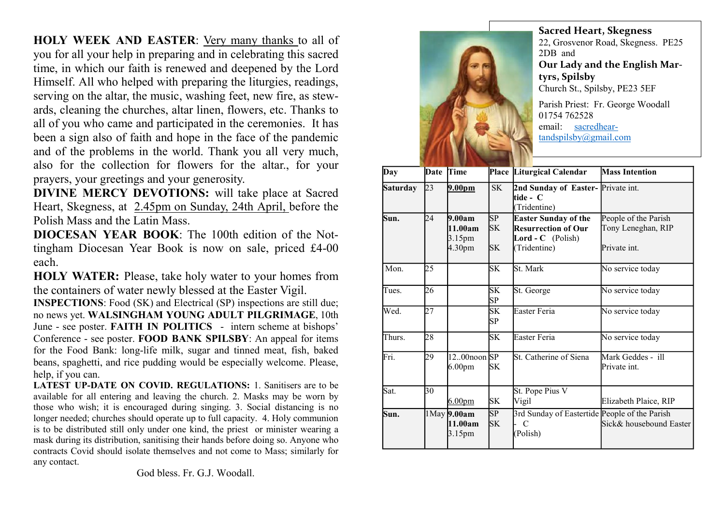HOLY WEEK AND EASTER: Very many thanks to all of you for all your help in preparing and in celebrating this sacred time, in which our faith is renewed and deepened by the Lord Himself. All who helped with preparing the liturgies, readings, serving on the altar, the music, washing feet, new fire, as stewards, cleaning the churches, altar linen, flowers, etc. Thanks to all of you who came and participated in the ceremonies. It has been a sign also of faith and hope in the face of the pandemic and of the problems in the world. Thank you all very much, also for the collection for flowers for the altar., for your prayers, your greetings and your generosity.

DIVINE MERCY DEVOTIONS: will take place at Sacred Heart, Skegness, at 2.45pm on Sunday, 24th April, before the Polish Mass and the Latin Mass.

DIOCESAN YEAR BOOK: The 100th edition of the Nottingham Diocesan Year Book is now on sale, priced £4-00 each.

HOLY WATER: Please, take holy water to your homes from the containers of water newly blessed at the Easter Vigil.

INSPECTIONS: Food (SK) and Electrical (SP) inspections are still due; no news yet. WALSINGHAM YOUNG ADULT PILGRIMAGE, 10th June - see poster. FAITH IN POLITICS - intern scheme at bishops' Conference - see poster. FOOD BANK SPILSBY: An appeal for items for the Food Bank: long-life milk, sugar and tinned meat, fish, baked beans, spaghetti, and rice pudding would be especially welcome. Please, help, if you can.

LATEST UP-DATE ON COVID. REGULATIONS: 1. Sanitisers are to be available for all entering and leaving the church. 2. Masks may be worn by those who wish; it is encouraged during singing. 3. Social distancing is no longer needed; churches should operate up to full capacity. 4. Holy communion is to be distributed still only under one kind, the priest or minister wearing a mask during its distribution, sanitising their hands before doing so. Anyone who contracts Covid should isolate themselves and not come to Mass; similarly for any contact.

God bless. Fr. G.J. Woodall.



Sacred Heart, Skegness 22, Grosvenor Road, Skegness. PE25 2DB and Our Lady and the English Martyrs, Spilsby Church St., Spilsby, PE23 5EF Parish Priest: Fr. George Woodall 01754 762528

email: sacredheartandspilsby@gmail.com

| Day             | Date | Time                                   |                       | Place Liturgical Calendar                                                                             | <b>Mass Intention</b>                                      |
|-----------------|------|----------------------------------------|-----------------------|-------------------------------------------------------------------------------------------------------|------------------------------------------------------------|
| <b>Saturday</b> | 23   | 9.00 <sub>pm</sub>                     | <b>SK</b>             | 2nd Sunday of Easter-Private int.<br>ltide - C<br>(Tridentine)                                        |                                                            |
| Sun.            | 24   | 9.00am<br>11.00am<br>3.15pm<br>4.30pm  | SP<br>SK<br><b>SK</b> | <b>Easter Sunday of the</b><br><b>Resurrection of Our</b><br><b>Lord - C</b> (Polish)<br>(Tridentine) | People of the Parish<br>Tony Leneghan, RIP<br>Private int. |
| Mon.            | 25   |                                        | SK                    | St. Mark                                                                                              | No service today                                           |
| Tues.           | 26   |                                        | <b>SK</b><br>SP       | St. George                                                                                            | No service today                                           |
| Wed.            | 27   |                                        | SK<br>SP              | Easter Feria                                                                                          | No service today                                           |
| Thurs.          | 28   |                                        | <b>SK</b>             | Easter Feria                                                                                          | No service today                                           |
| Fri.            | 29   | $1200$ noon SP<br>6.00 <sub>pm</sub>   | SK                    | St. Catherine of Siena                                                                                | Mark Geddes - ill<br>Private int.                          |
| Sat.            | 30   | 6.00 <sub>pm</sub>                     | SK                    | St. Pope Pius V<br>Vigil                                                                              | Elizabeth Plaice, RIP                                      |
| Sun.            |      | $1$ May $9.00$ am<br>11.00am<br>3.15pm | SP<br><b>SK</b>       | 3rd Sunday of Eastertide People of the Parish<br>$\mathcal{C}$<br>(Polish)                            | Sick& housebound Easter                                    |